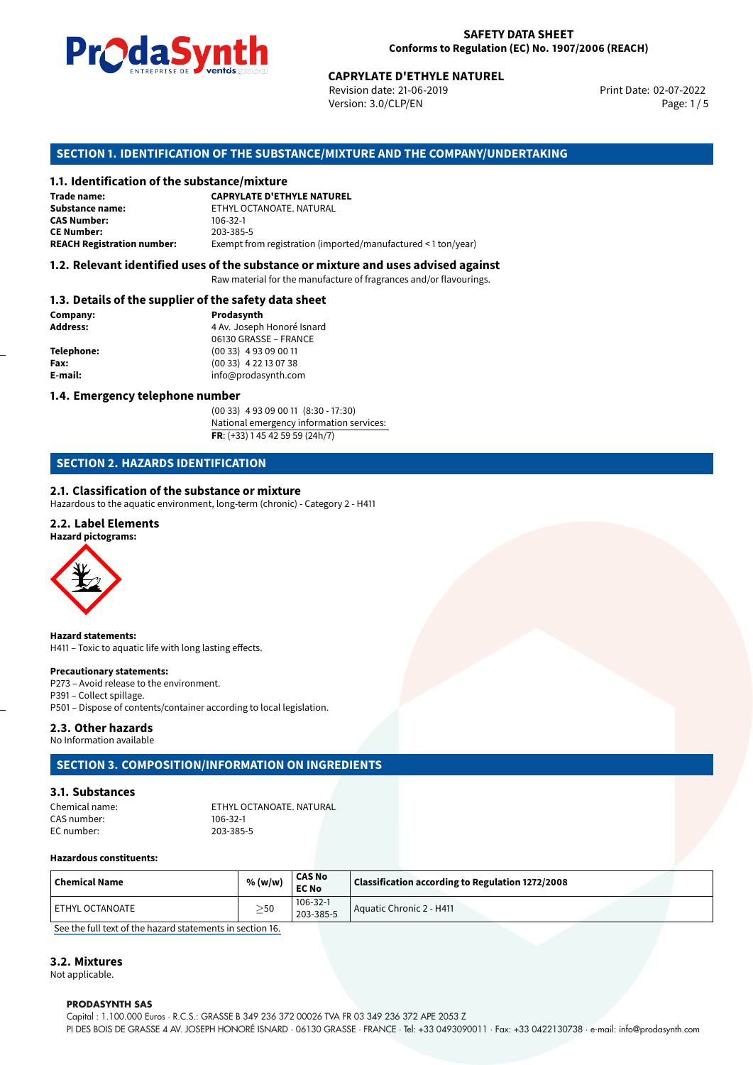

Revision date: 21-06-2019 Version: 3.0/CLP/EN Page: 1 / 5

Print Date: 02-07-2022

# **CAPRYLATE D'ETHYLE NATUREL<br>
Revision date: 21-06-2019<br>
Version: 3.0/CLP/EN<br>
OF THE SUBSTANCE/MIXTURE AND THE COMPANY/UN<br>
tance/mixture<br>
CAPRYLATE D'ETHYLE NATUREL SECTION 1. IDENTIFICATION OF THE SUBSTANCE/MIXTURE AND THE COMPANY/UNDERTAKING**

#### **1.1. Identification of the substance/mixture**

| Trade name:                       | <b>CAPRYLATE D'ETHYLE NATUREL</b>                             |
|-----------------------------------|---------------------------------------------------------------|
| Substance name:                   | ETHYL OCTANOATE, NATURAL                                      |
| <b>CAS Number:</b>                | 106-32-1                                                      |
| <b>CE Number:</b>                 | 203-385-5                                                     |
| <b>REACH Registration number:</b> | Exempt from registration (imported/manufactured < 1 ton/year) |

#### **1.2. Relevant identified uses of the substance or mixture and uses advised against**

Raw material for the manufacture of fragrances and/or flavourings.

#### **1.3. Details of the supplier of the safety data sheet**

| Company:          | Prodasynth                 |
|-------------------|----------------------------|
| <b>Address:</b>   | 4 Av. Joseph Honoré Isnard |
|                   | 06130 GRASSE - FRANCE      |
| <b>Telephone:</b> | $(0033)$ 4 93 09 00 11     |
| Fax:              | $(0033)$ 4 22 13 07 38     |
| E-mail:           | info@prodasynth.com        |
|                   |                            |

#### **1.4. Emergency telephone number**

(00 33) 4 93 09 00 11 (8:30 - 17:30) National emergency information services: **FR**: (+33) 1 45 42 59 59 (24h/7)

#### **SECTION 2. HAZARDS IDENTIFICATION**

#### **2.1. Classification of the substance or mixture**

Hazardous to the aquatic environment, long-term (chronic) - Category 2 - H411

#### **2.2. Label Elements**

#### **Hazard pictograms:**



**Hazard statements:** H411 – Toxic to aquatic life with long lasting effects.

#### **Precautionary statements:**

P273 – Avoid release to the environment.

- P391 Collect spillage.
- P501 Dispose of contents/container according to local legislation.

#### **2.3. Other hazards**

No Information available

#### **SECTION 3. COMPOSITION/INFORMATION ON INGREDIENTS**

#### **3.1. Substances**

| Chemical name: | ETHYL OCTANOATE, NATURAL |  |
|----------------|--------------------------|--|
| CAS number:    | $106 - 32 - 1$           |  |
| EC number:     | 203-385-5                |  |

#### **Hazardous constituents:**

| $\mid$ Chemical Name | % (w/w)   | <b>CAS No</b><br><b>EC No</b> | Classification according to Regulation 1272/2008 |
|----------------------|-----------|-------------------------------|--------------------------------------------------|
| l ETHYL OCTANOATE    | $\geq$ 50 | 106-32-1<br>203-385-5         | Aquatic Chronic 2 - H411                         |

[See the full text of the hazard statements in section 16.](#page--1-0)

#### **3.2. Mixtures**

Not applicable.

#### **PRODASYNTH SAS**

Capital : 1.100.000 Euros · R.C.S.: GRASSE B 349 236 372 00026 TVA FR 03 349 236 372 APE 2053 Z PI DES BOIS DE GRASSE 4 AV. JOSEPH HONORÉ ISNARD · 06130 GRASSE · FRANCE · Tel: +33 0493090011 · Fax: +33 0422130738 · e-mail: info@prodasynth.com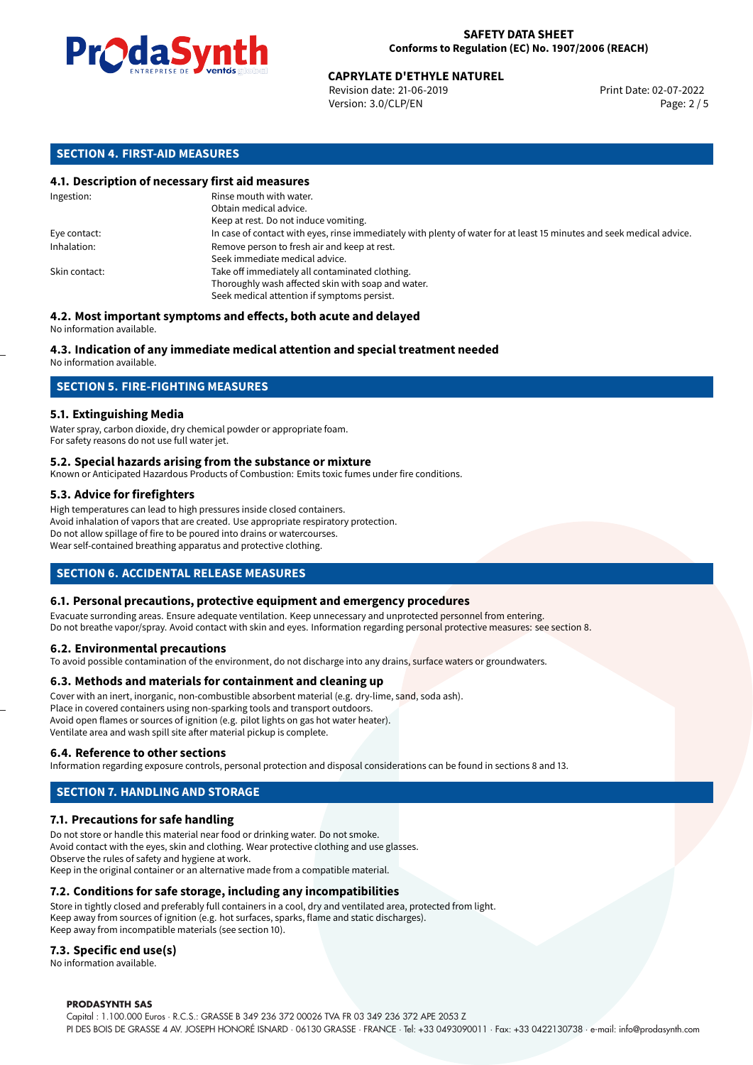

Revision date: 21-06-2019 Version: 3.0/CLP/EN Page: 2 / 5

#### **SECTION 4. FIRST-AID MEASURES**

#### **4.1. Description of necessary first aid measures**

| Ingestion:    | Rinse mouth with water.<br>Obtain medical advice.                                                                                                    |
|---------------|------------------------------------------------------------------------------------------------------------------------------------------------------|
|               | Keep at rest. Do not induce vomiting.                                                                                                                |
| Eye contact:  | In case of contact with eyes, rinse immediately with plenty of water for at least 15 minutes and seek medical advice.                                |
| Inhalation:   | Remove person to fresh air and keep at rest.<br>Seek immediate medical advice.                                                                       |
| Skin contact: | Take off immediately all contaminated clothing.<br>Thoroughly wash affected skin with soap and water.<br>Seek medical attention if symptoms persist. |

#### **4.2. Most important symptoms and effects, both acute and delayed** No information available.

### **4.3. Indication of any immediate medical attention and special treatment needed**

No information available.

#### **SECTION 5. FIRE-FIGHTING MEASURES**

#### **5.1. Extinguishing Media**

Water spray, carbon dioxide, dry chemical powder or appropriate foam. For safety reasons do not use full water jet.

#### **5.2. Special hazards arising from the substance or mixture**

Known or Anticipated Hazardous Products of Combustion: Emits toxic fumes under fire conditions.

#### **5.3. Advice for firefighters**

High temperatures can lead to high pressures inside closed containers. Avoid inhalation of vapors that are created. Use appropriate respiratory protection. Do not allow spillage of fire to be poured into drains or watercourses. Wear self-contained breathing apparatus and protective clothing.

#### **SECTION 6. ACCIDENTAL RELEASE MEASURES**

#### **6.1. Personal precautions, protective equipment and emergency procedures**

Evacuate surronding areas. Ensure adequate ventilation. Keep unnecessary and unprotected personnel from entering. Do not breathe vapor/spray. Avoid contact with skin and eyes. Information regarding personal protective measures: see section 8.

#### **6.2. Environmental precautions**

To avoid possible contamination of the environment, do not discharge into any drains, surface waters or groundwaters.

#### **6.3. Methods and materials for containment and cleaning up**

Cover with an inert, inorganic, non-combustible absorbent material (e.g. dry-lime, sand, soda ash). Place in covered containers using non-sparking tools and transport outdoors. Avoid open flames or sources of ignition (e.g. pilot lights on gas hot water heater). Ventilate area and wash spill site after material pickup is complete.

#### **6.4. Reference to other sections**

Information regarding exposure controls, personal protection and disposal considerations can be found in sections 8 and 13.

#### **SECTION 7. HANDLING AND STORAGE**

#### **7.1. Precautions for safe handling**

Do not store or handle this material near food or drinking water. Do not smoke. Avoid contact with the eyes, skin and clothing. Wear protective clothing and use glasses. Observe the rules of safety and hygiene at work. Keep in the original container or an alternative made from a compatible material.

#### **7.2. Conditions for safe storage, including any incompatibilities**

Store in tightly closed and preferably full containers in a cool, dry and ventilated area, protected from light. Keep away from sources of ignition (e.g. hot surfaces, sparks, flame and static discharges). Keep away from incompatible materials (see section 10).

#### **7.3. Specific end use(s)**

No information available.

#### **PRODASYNTH SAS**

Capital : 1.100.000 Euros · R.C.S.: GRASSE B 349 236 372 00026 TVA FR 03 349 236 372 APE 2053 Z PI DES BOIS DE GRASSE 4 AV. JOSEPH HONORÉ ISNARD · 06130 GRASSE · FRANCE · Tel: +33 0493090011 · Fax: +33 0422130738 · e-mail: info@prodasynth.com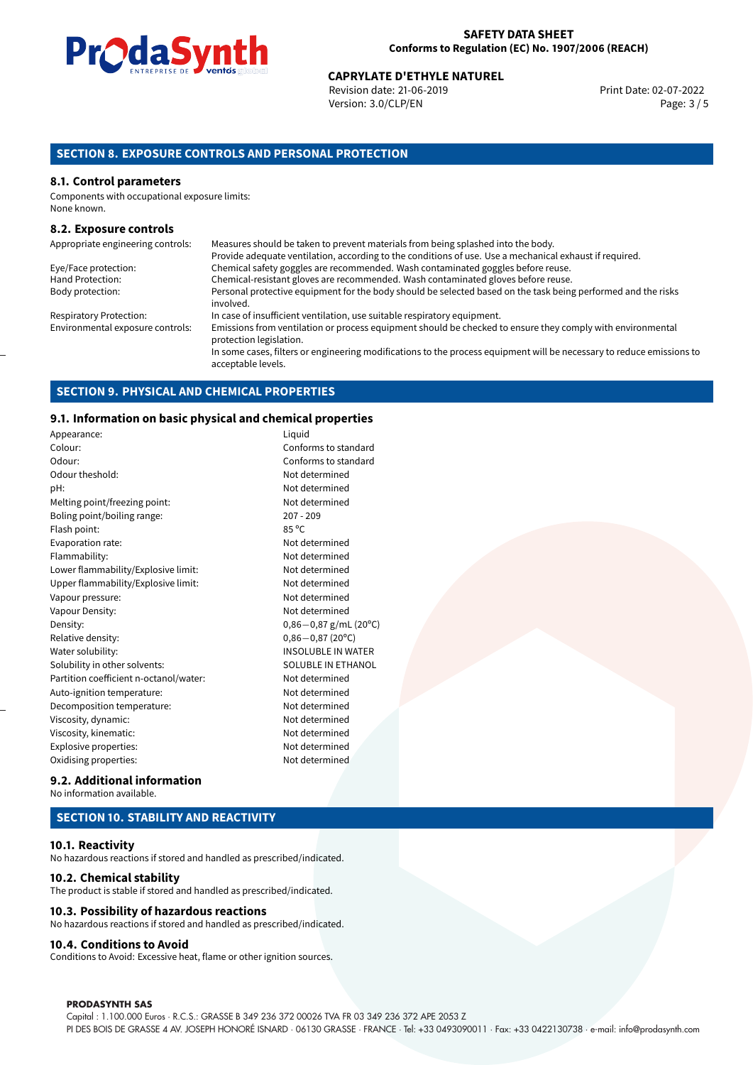

Revision date: 21-06-2019 Version: 3.0/CLP/EN Page: 3 / 5

#### **SECTION 8. EXPOSURE CONTROLS AND PERSONAL PROTECTION**

#### **8.1. Control parameters**

Components with occupational exposure limits: None known.

#### **8.2. Exposure controls**

| Appropriate engineering controls: | Measures should be taken to prevent materials from being splashed into the body.                                                            |
|-----------------------------------|---------------------------------------------------------------------------------------------------------------------------------------------|
|                                   | Provide adequate ventilation, according to the conditions of use. Use a mechanical exhaust if required.                                     |
| Eye/Face protection:              | Chemical safety goggles are recommended. Wash contaminated goggles before reuse.                                                            |
| Hand Protection:                  | Chemical-resistant gloves are recommended. Wash contaminated gloves before reuse.                                                           |
| Body protection:                  | Personal protective equipment for the body should be selected based on the task being performed and the risks<br>involved.                  |
| <b>Respiratory Protection:</b>    | In case of insufficient ventilation, use suitable respiratory equipment.                                                                    |
| Environmental exposure controls:  | Emissions from ventilation or process equipment should be checked to ensure they comply with environmental<br>protection legislation.       |
|                                   | In some cases, filters or engineering modifications to the process equipment will be necessary to reduce emissions to<br>acceptable levels. |

#### **SECTION 9. PHYSICAL AND CHEMICAL PROPERTIES**

#### **9.1. Information on basic physical and chemical properties**

| Appearance:                            | Liquid       |
|----------------------------------------|--------------|
| Colour:                                | Confo        |
| Odour:                                 | Confo        |
| Odour theshold:                        | Not de       |
| pH:                                    | Not de       |
| Melting point/freezing point:          | Not de       |
| Boling point/boiling range:            | $207 - 2$    |
| Flash point:                           | 85 °C        |
| Evaporation rate:                      | Not de       |
| Flammability:                          | Not de       |
| Lower flammability/Explosive limit:    | Not de       |
| Upper flammability/Explosive limit:    | Not de       |
| Vapour pressure:                       | Not de       |
| Vapour Density:                        | Not de       |
| Density:                               | $0,86 -$     |
| Relative density:                      | $0,86 -$     |
| Water solubility:                      | <b>INSOL</b> |
| Solubility in other solvents:          | SOLUE        |
| Partition coefficient n-octanol/water: | Not de       |
| Auto-ignition temperature:             | Not de       |
| Decomposition temperature:             | Not de       |
| Viscosity, dynamic:                    | Not de       |
| Viscosity, kinematic:                  | Not de       |
| Explosive properties:                  | Not de       |
| Oxidising properties:                  | Not de       |

#### Conforms to standard Conforms to standard Not determined Not determined Not determined  $207 - 209$ Not determined Not determined Not determined Not determined Not determined Not determined Density: 0,86*−*0,87 g/mL (20ºC) Relative density: 0,86*−*0,87 (20ºC) **INSOLUBLE IN WATER** SOLUBLE IN ETHANOL Not determined Not determined Not determined Not determined Not determined Not determined Not determined

#### **9.2. Additional information** No information available.

#### **SECTION 10. STABILITY AND REACTIVITY**

#### **10.1. Reactivity**

No hazardous reactions if stored and handled as prescribed/indicated.

#### **10.2. Chemical stability**

The product is stable if stored and handled as prescribed/indicated.

#### **10.3. Possibility of hazardous reactions**

No hazardous reactions if stored and handled as prescribed/indicated.

#### **10.4. Conditions to Avoid**

Conditions to Avoid: Excessive heat, flame or other ignition sources.

#### **PRODASYNTH SAS**

Capital : 1.100.000 Euros · R.C.S.: GRASSE B 349 236 372 00026 TVA FR 03 349 236 372 APE 2053 Z PI DES BOIS DE GRASSE 4 AV. JOSEPH HONORÉ ISNARD · 06130 GRASSE · FRANCE · Tel: +33 0493090011 · Fax: +33 0422130738 · e-mail: info@prodasynth.com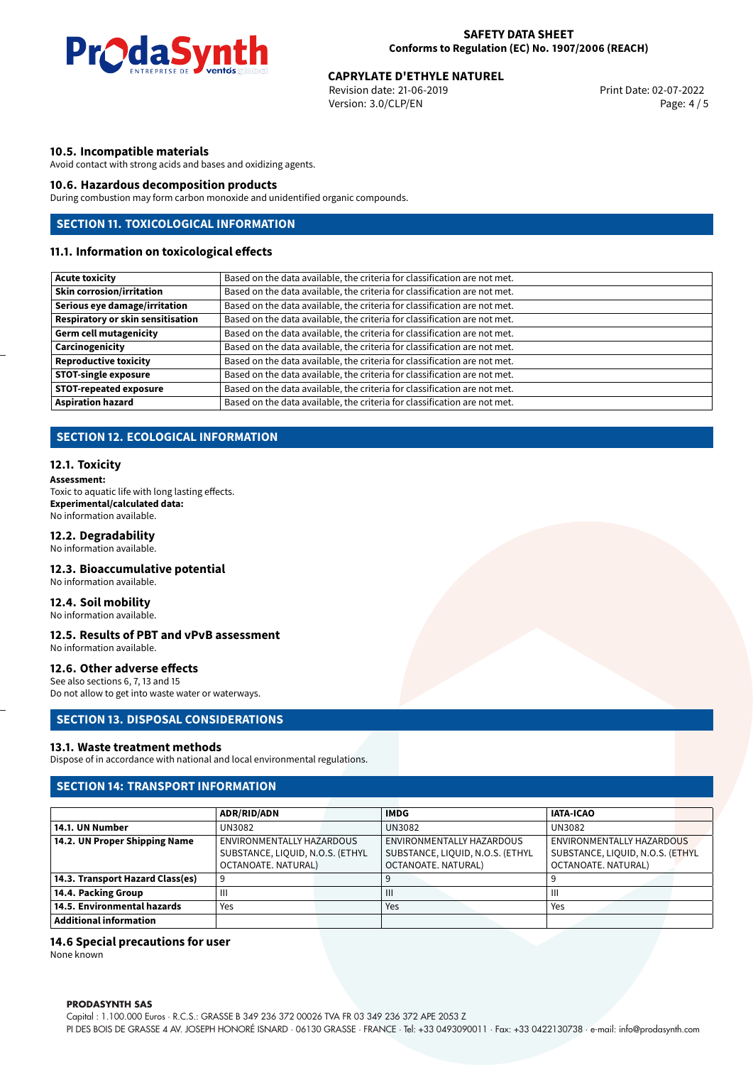

Revision date: 21-06-2019 Version: 3.0/CLP/EN Page: 4 / 5

#### **10.5. Incompatible materials**

Avoid contact with strong acids and bases and oxidizing agents.

#### **10.6. Hazardous decomposition products**

During combustion may form carbon monoxide and unidentified organic compounds.

#### **SECTION 11. TOXICOLOGICAL INFORMATION**

#### **11.1. Information on toxicological effects**

| <b>Acute toxicity</b>                    | Based on the data available, the criteria for classification are not met. |
|------------------------------------------|---------------------------------------------------------------------------|
| <b>Skin corrosion/irritation</b>         | Based on the data available, the criteria for classification are not met. |
| Serious eye damage/irritation            | Based on the data available, the criteria for classification are not met. |
| <b>Respiratory or skin sensitisation</b> | Based on the data available, the criteria for classification are not met. |
| <b>Germ cell mutagenicity</b>            | Based on the data available, the criteria for classification are not met. |
| Carcinogenicity                          | Based on the data available, the criteria for classification are not met. |
| <b>Reproductive toxicity</b>             | Based on the data available, the criteria for classification are not met. |
| <b>STOT-single exposure</b>              | Based on the data available, the criteria for classification are not met. |
| <b>STOT-repeated exposure</b>            | Based on the data available, the criteria for classification are not met. |
| <b>Aspiration hazard</b>                 | Based on the data available, the criteria for classification are not met. |

#### **SECTION 12. ECOLOGICAL INFORMATION**

#### **12.1. Toxicity**

**Assessment:** Toxic to aquatic life with long lasting effects. **Experimental/calculated data:** No information available.

#### **12.2. Degradability**

No information available.

#### **12.3. Bioaccumulative potential**

No information available.

#### **12.4. Soil mobility**

No information available.

#### **12.5. Results of PBT and vPvB assessment**

No information available.

#### **12.6. Other adverse effects**

See also sections 6, 7, 13 and 15 Do not allow to get into waste water or waterways.

#### **SECTION 13. DISPOSAL CONSIDERATIONS**

#### **13.1. Waste treatment methods**

Dispose of in accordance with national and local environmental regulations.

#### **SECTION 14: TRANSPORT INFORMATION**

|                                  | <b>ADR/RID/ADN</b>               | <b>IMDG</b>                      | <b>IATA-ICAO</b>                 |
|----------------------------------|----------------------------------|----------------------------------|----------------------------------|
| 14.1. UN Number                  | UN3082                           | <b>UN3082</b>                    | UN3082                           |
| 14.2. UN Proper Shipping Name    | ENVIRONMENTALLY HAZARDOUS        | ENVIRONMENTALLY HAZARDOUS        | ENVIRONMENTALLY HAZARDOUS        |
|                                  | SUBSTANCE, LIQUID, N.O.S. (ETHYL | SUBSTANCE, LIQUID, N.O.S. (ETHYL | SUBSTANCE, LIQUID, N.O.S. (ETHYL |
|                                  | OCTANOATE, NATURAL)              | OCTANOATE, NATURAL)              | OCTANOATE, NATURAL)              |
| 14.3. Transport Hazard Class(es) |                                  |                                  |                                  |
| 14.4. Packing Group              | Ш                                | $\mathbf{III}$                   | Ш                                |
| 14.5. Environmental hazards      | Yes                              | Yes                              | Yes                              |
| <b>Additional information</b>    |                                  |                                  |                                  |

#### **14.6 Special precautions for user**

None known

#### **PRODASYNTH SAS**